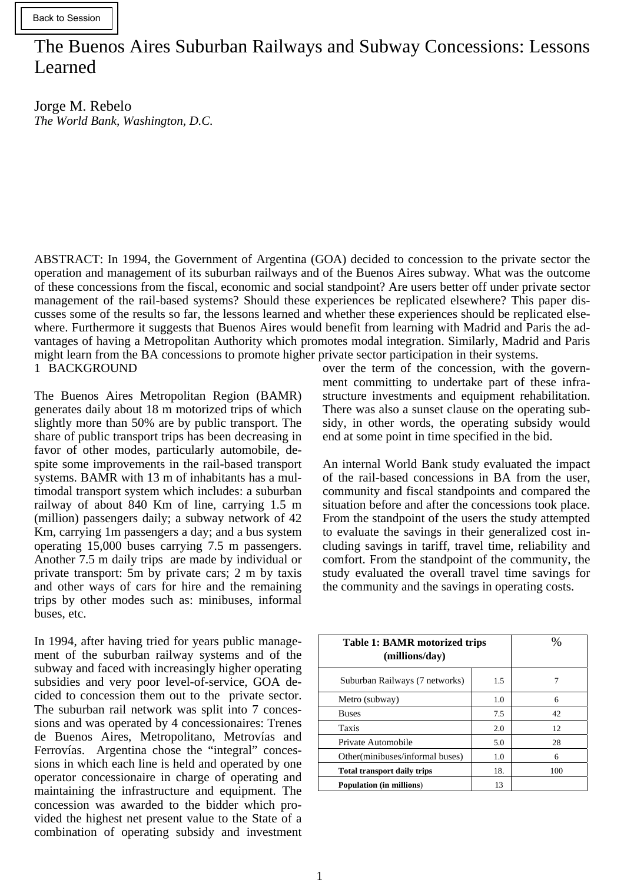# The Buenos Aires Suburban Railways and Subway Concessions: Lessons Learned

Jorge M. Rebelo *The World Bank, Washington, D.C.* 

1 BACKGROUND ABSTRACT: In 1994, the Government of Argentina (GOA) decided to concession to the private sector the operation and management of its suburban railways and of the Buenos Aires subway. What was the outcome of these concessions from the fiscal, economic and social standpoint? Are users better off under private sector management of the rail-based systems? Should these experiences be replicated elsewhere? This paper discusses some of the results so far, the lessons learned and whether these experiences should be replicated elsewhere. Furthermore it suggests that Buenos Aires would benefit from learning with Madrid and Paris the advantages of having a Metropolitan Authority which promotes modal integration. Similarly, Madrid and Paris might learn from the BA concessions to promote higher private sector participation in their systems.

The Buenos Aires Metropolitan Region (BAMR) generates daily about 18 m motorized trips of which slightly more than 50% are by public transport. The share of public transport trips has been decreasing in favor of other modes, particularly automobile, despite some improvements in the rail-based transport systems. BAMR with 13 m of inhabitants has a multimodal transport system which includes: a suburban railway of about 840 Km of line, carrying 1.5 m (million) passengers daily; a subway network of 42 Km, carrying 1m passengers a day; and a bus system operating 15,000 buses carrying 7.5 m passengers. Another 7.5 m daily trips are made by individual or private transport: 5m by private cars; 2 m by taxis and other ways of cars for hire and the remaining trips by other modes such as: minibuses, informal buses, etc.

In 1994, after having tried for years public management of the suburban railway systems and of the subway and faced with increasingly higher operating subsidies and very poor level-of-service, GOA decided to concession them out to the private sector. The suburban rail network was split into 7 concessions and was operated by 4 concessionaires: Trenes de Buenos Aires, Metropolitano, Metrovías and Ferrovías. Argentina chose the "integral" concessions in which each line is held and operated by one operator concessionaire in charge of operating and maintaining the infrastructure and equipment. The concession was awarded to the bidder which provided the highest net present value to the State of a combination of operating subsidy and investment over the term of the concession, with the government committing to undertake part of these infrastructure investments and equipment rehabilitation. There was also a sunset clause on the operating subsidy, in other words, the operating subsidy would end at some point in time specified in the bid.

An internal World Bank study evaluated the impact of the rail-based concessions in BA from the user, community and fiscal standpoints and compared the situation before and after the concessions took place. From the standpoint of the users the study attempted to evaluate the savings in their generalized cost including savings in tariff, travel time, reliability and comfort. From the standpoint of the community, the study evaluated the overall travel time savings for the community and the savings in operating costs.

| <b>Table 1: BAMR motorized trips</b><br>(millions/day) | %   |     |
|--------------------------------------------------------|-----|-----|
| Suburban Railways (7 networks)                         | 1.5 |     |
| Metro (subway)                                         | 1.0 | 6   |
| <b>Buses</b>                                           | 7.5 | 42  |
| Taxis                                                  | 2.0 | 12  |
| Private Automobile                                     | 5.0 | 28  |
| Other(minibuses/informal buses)                        | 1.0 | 6   |
| <b>Total transport daily trips</b>                     | 18. | 100 |
| <b>Population (in millions)</b>                        | 13  |     |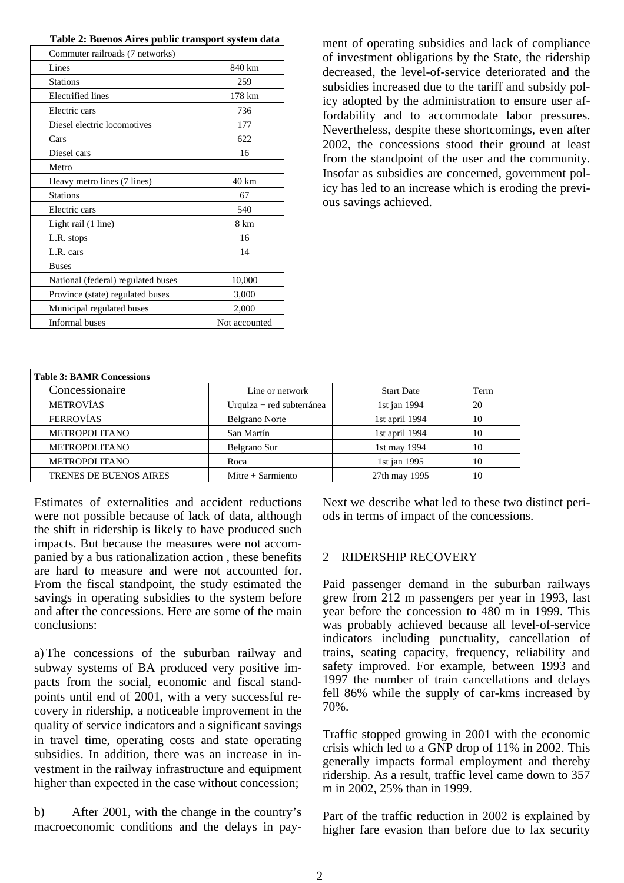| Commuter railroads (7 networks)    |               |
|------------------------------------|---------------|
| Lines                              | 840 km        |
| <b>Stations</b>                    | 259           |
| <b>Electrified</b> lines           | 178 km        |
| Electric cars                      | 736           |
| Diesel electric locomotives        | 177           |
| Cars                               | 622           |
| Diesel cars                        | 16            |
| Metro                              |               |
| Heavy metro lines (7 lines)        | 40 km         |
| <b>Stations</b>                    | 67            |
| Electric cars                      | 540           |
| Light rail (1 line)                | 8 km          |
| L.R. stops                         | 16            |
| L.R. cars                          | 14            |
| <b>Buses</b>                       |               |
| National (federal) regulated buses | 10,000        |
| Province (state) regulated buses   | 3,000         |
| Municipal regulated buses          | 2,000         |
| <b>Informal</b> buses              | Not accounted |
|                                    |               |

ment of operating subsidies and lack of compliance of investment obligations by the State, the ridership decreased, the level-of-service deteriorated and the subsidies increased due to the tariff and subsidy policy adopted by the administration to ensure user affordability and to accommodate labor pressures. Nevertheless, despite these shortcomings, even after 2002, the concessions stood their ground at least from the standpoint of the user and the community. Insofar as subsidies are concerned, government policy has led to an increase which is eroding the previous savings achieved.

| Line or network           | <b>Start Date</b> | Term |
|---------------------------|-------------------|------|
| Urquiza + red subterránea | 1st jan 1994      | 20   |
| <b>Belgrano Norte</b>     | 1st april 1994    | 10   |
| San Martín                | 1st april 1994    | 10   |
| Belgrano Sur              | 1st may 1994      | 10   |
| Roca                      | 1st jan 1995      | 10   |
| Mitre $+$ Sarmiento       | 27th may 1995     | 10   |
|                           |                   |      |

Estimates of externalities and accident reductions were not possible because of lack of data, although the shift in ridership is likely to have produced such impacts. But because the measures were not accompanied by a bus rationalization action , these benefits are hard to measure and were not accounted for. From the fiscal standpoint, the study estimated the savings in operating subsidies to the system before and after the concessions. Here are some of the main conclusions:

a) The concessions of the suburban railway and subway systems of BA produced very positive impacts from the social, economic and fiscal standpoints until end of 2001, with a very successful recovery in ridership, a noticeable improvement in the quality of service indicators and a significant savings in travel time, operating costs and state operating subsidies. In addition, there was an increase in investment in the railway infrastructure and equipment higher than expected in the case without concession;

b) After 2001, with the change in the country's macroeconomic conditions and the delays in payNext we describe what led to these two distinct periods in terms of impact of the concessions.

#### 2 RIDERSHIP RECOVERY

Paid passenger demand in the suburban railways grew from 212 m passengers per year in 1993, last year before the concession to 480 m in 1999. This was probably achieved because all level-of-service indicators including punctuality, cancellation of trains, seating capacity, frequency, reliability and safety improved. For example, between 1993 and 1997 the number of train cancellations and delays fell 86% while the supply of car-kms increased by 70%.

Traffic stopped growing in 2001 with the economic crisis which led to a GNP drop of 11% in 2002. This generally impacts formal employment and thereby ridership. As a result, traffic level came down to 357 m in 2002, 25% than in 1999.

Part of the traffic reduction in 2002 is explained by higher fare evasion than before due to lax security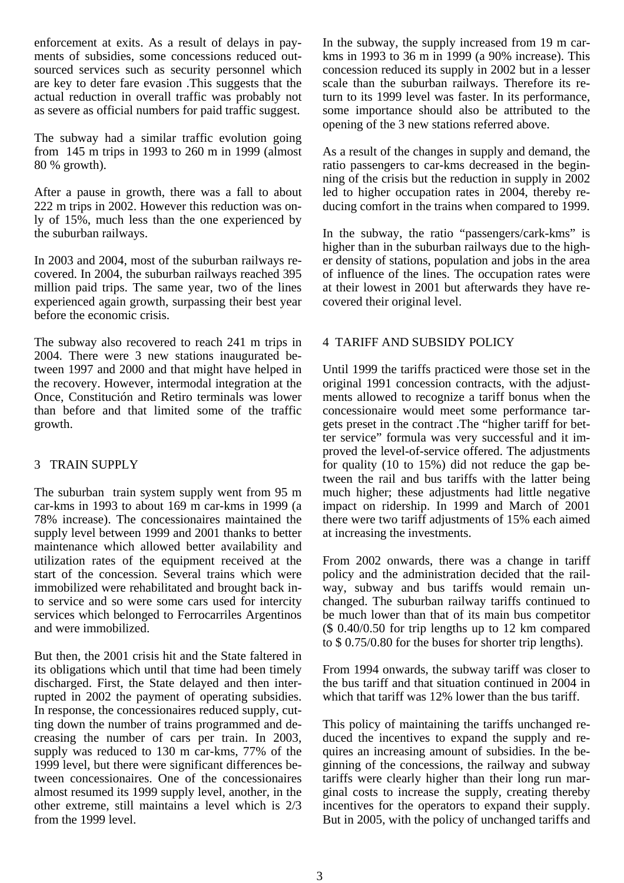enforcement at exits. As a result of delays in payments of subsidies, some concessions reduced outsourced services such as security personnel which are key to deter fare evasion .This suggests that the actual reduction in overall traffic was probably not as severe as official numbers for paid traffic suggest.

The subway had a similar traffic evolution going from 145 m trips in 1993 to 260 m in 1999 (almost 80 % growth).

After a pause in growth, there was a fall to about 222 m trips in 2002. However this reduction was only of 15%, much less than the one experienced by the suburban railways.

In 2003 and 2004, most of the suburban railways recovered. In 2004, the suburban railways reached 395 million paid trips. The same year, two of the lines experienced again growth, surpassing their best year before the economic crisis.

The subway also recovered to reach 241 m trips in 2004. There were 3 new stations inaugurated between 1997 and 2000 and that might have helped in the recovery. However, intermodal integration at the Once, Constitución and Retiro terminals was lower than before and that limited some of the traffic growth.

# 3 TRAIN SUPPLY

The suburban train system supply went from 95 m car-kms in 1993 to about 169 m car-kms in 1999 (a 78% increase). The concessionaires maintained the supply level between 1999 and 2001 thanks to better maintenance which allowed better availability and utilization rates of the equipment received at the start of the concession. Several trains which were immobilized were rehabilitated and brought back into service and so were some cars used for intercity services which belonged to Ferrocarriles Argentinos and were immobilized.

But then, the 2001 crisis hit and the State faltered in its obligations which until that time had been timely discharged. First, the State delayed and then interrupted in 2002 the payment of operating subsidies. In response, the concessionaires reduced supply, cutting down the number of trains programmed and decreasing the number of cars per train. In 2003, supply was reduced to 130 m car-kms, 77% of the 1999 level, but there were significant differences between concessionaires. One of the concessionaires almost resumed its 1999 supply level, another, in the other extreme, still maintains a level which is 2/3 from the 1999 level.

In the subway, the supply increased from 19 m carkms in 1993 to 36 m in 1999 (a 90% increase). This concession reduced its supply in 2002 but in a lesser scale than the suburban railways. Therefore its return to its 1999 level was faster. In its performance, some importance should also be attributed to the opening of the 3 new stations referred above.

As a result of the changes in supply and demand, the ratio passengers to car-kms decreased in the beginning of the crisis but the reduction in supply in 2002 led to higher occupation rates in 2004, thereby reducing comfort in the trains when compared to 1999.

In the subway, the ratio "passengers/cark-kms" is higher than in the suburban railways due to the higher density of stations, population and jobs in the area of influence of the lines. The occupation rates were at their lowest in 2001 but afterwards they have recovered their original level.

# 4 TARIFF AND SUBSIDY POLICY

Until 1999 the tariffs practiced were those set in the original 1991 concession contracts, with the adjustments allowed to recognize a tariff bonus when the concessionaire would meet some performance targets preset in the contract .The "higher tariff for better service" formula was very successful and it improved the level-of-service offered. The adjustments for quality (10 to 15%) did not reduce the gap between the rail and bus tariffs with the latter being much higher; these adjustments had little negative impact on ridership. In 1999 and March of 2001 there were two tariff adjustments of 15% each aimed at increasing the investments.

From 2002 onwards, there was a change in tariff policy and the administration decided that the railway, subway and bus tariffs would remain unchanged. The suburban railway tariffs continued to be much lower than that of its main bus competitor (\$ 0.40/0.50 for trip lengths up to 12 km compared to \$ 0.75/0.80 for the buses for shorter trip lengths).

From 1994 onwards, the subway tariff was closer to the bus tariff and that situation continued in 2004 in which that tariff was 12% lower than the bus tariff.

This policy of maintaining the tariffs unchanged reduced the incentives to expand the supply and requires an increasing amount of subsidies. In the beginning of the concessions, the railway and subway tariffs were clearly higher than their long run marginal costs to increase the supply, creating thereby incentives for the operators to expand their supply. But in 2005, with the policy of unchanged tariffs and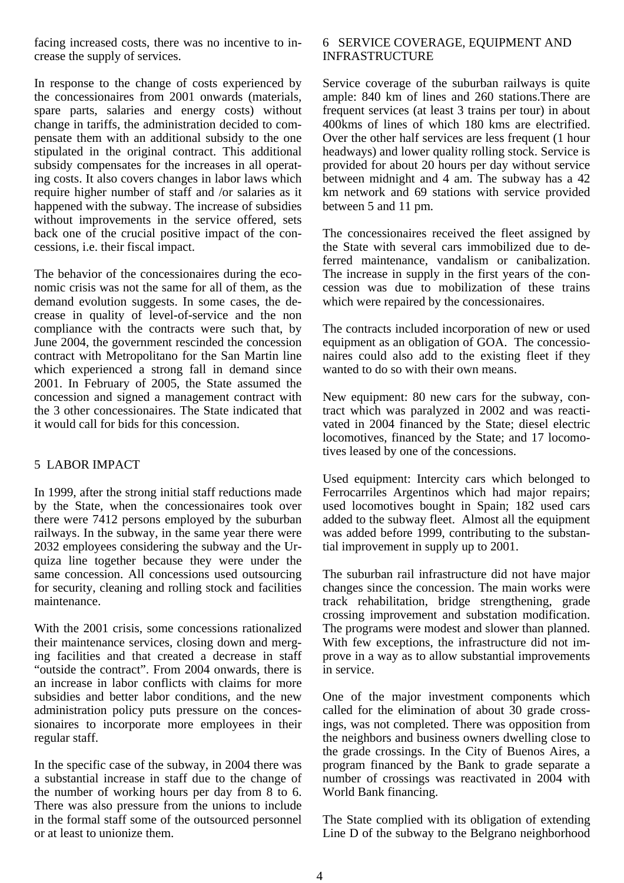facing increased costs, there was no incentive to increase the supply of services.

In response to the change of costs experienced by the concessionaires from 2001 onwards (materials, spare parts, salaries and energy costs) without change in tariffs, the administration decided to compensate them with an additional subsidy to the one stipulated in the original contract. This additional subsidy compensates for the increases in all operating costs. It also covers changes in labor laws which require higher number of staff and /or salaries as it happened with the subway. The increase of subsidies without improvements in the service offered, sets back one of the crucial positive impact of the concessions, i.e. their fiscal impact.

The behavior of the concessionaires during the economic crisis was not the same for all of them, as the demand evolution suggests. In some cases, the decrease in quality of level-of-service and the non compliance with the contracts were such that, by June 2004, the government rescinded the concession contract with Metropolitano for the San Martin line which experienced a strong fall in demand since 2001. In February of 2005, the State assumed the concession and signed a management contract with the 3 other concessionaires. The State indicated that it would call for bids for this concession.

# 5 LABOR IMPACT

In 1999, after the strong initial staff reductions made by the State, when the concessionaires took over there were 7412 persons employed by the suburban railways. In the subway, in the same year there were 2032 employees considering the subway and the Urquiza line together because they were under the same concession. All concessions used outsourcing for security, cleaning and rolling stock and facilities maintenance.

With the 2001 crisis, some concessions rationalized their maintenance services, closing down and merging facilities and that created a decrease in staff "outside the contract". From 2004 onwards, there is an increase in labor conflicts with claims for more subsidies and better labor conditions, and the new administration policy puts pressure on the concessionaires to incorporate more employees in their regular staff.

In the specific case of the subway, in 2004 there was a substantial increase in staff due to the change of the number of working hours per day from 8 to 6. There was also pressure from the unions to include in the formal staff some of the outsourced personnel or at least to unionize them.

# 6 SERVICE COVERAGE, EQUIPMENT AND INFRASTRUCTURE

Service coverage of the suburban railways is quite ample: 840 km of lines and 260 stations.There are frequent services (at least 3 trains per tour) in about 400kms of lines of which 180 kms are electrified. Over the other half services are less frequent (1 hour headways) and lower quality rolling stock. Service is provided for about 20 hours per day without service between midnight and 4 am. The subway has a 42 km network and 69 stations with service provided between 5 and 11 pm.

The concessionaires received the fleet assigned by the State with several cars immobilized due to deferred maintenance, vandalism or canibalization. The increase in supply in the first years of the concession was due to mobilization of these trains which were repaired by the concessionaires.

The contracts included incorporation of new or used equipment as an obligation of GOA. The concessionaires could also add to the existing fleet if they wanted to do so with their own means.

New equipment: 80 new cars for the subway, contract which was paralyzed in 2002 and was reactivated in 2004 financed by the State; diesel electric locomotives, financed by the State; and 17 locomotives leased by one of the concessions.

Used equipment: Intercity cars which belonged to Ferrocarriles Argentinos which had major repairs; used locomotives bought in Spain; 182 used cars added to the subway fleet. Almost all the equipment was added before 1999, contributing to the substantial improvement in supply up to 2001.

The suburban rail infrastructure did not have major changes since the concession. The main works were track rehabilitation, bridge strengthening, grade crossing improvement and substation modification. The programs were modest and slower than planned. With few exceptions, the infrastructure did not improve in a way as to allow substantial improvements in service.

One of the major investment components which called for the elimination of about 30 grade crossings, was not completed. There was opposition from the neighbors and business owners dwelling close to the grade crossings. In the City of Buenos Aires, a program financed by the Bank to grade separate a number of crossings was reactivated in 2004 with World Bank financing.

The State complied with its obligation of extending Line D of the subway to the Belgrano neighborhood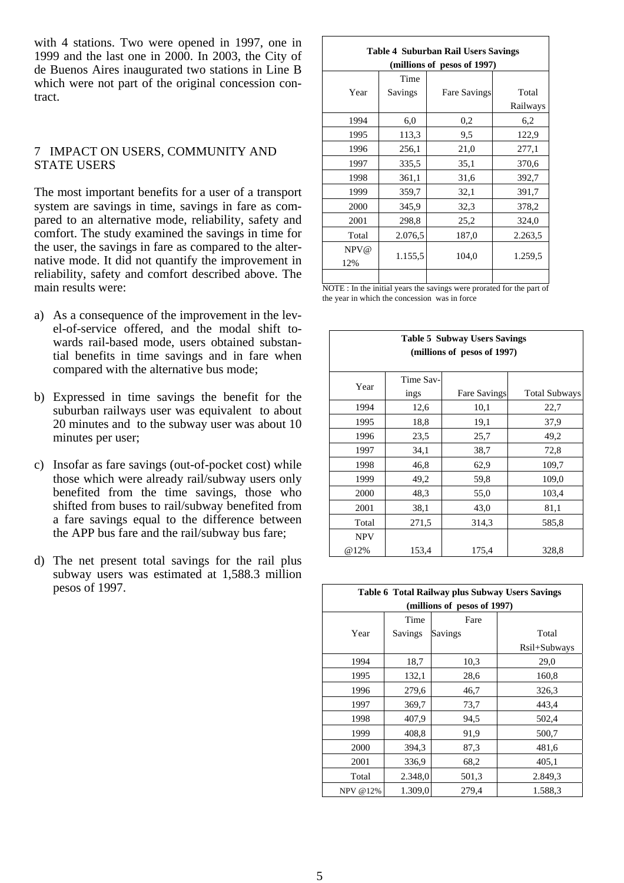with 4 stations. Two were opened in 1997, one in 1999 and the last one in 2000. In 2003, the City of de Buenos Aires inaugurated two stations in Line B which were not part of the original concession contract.

### 7 IMPACT ON USERS, COMMUNITY AND STATE USERS

The most important benefits for a user of a transport system are savings in time, savings in fare as compared to an alternative mode, reliability, safety and comfort. The study examined the savings in time for the user, the savings in fare as compared to the alternative mode. It did not quantify the improvement in reliability, safety and comfort described above. The main results were:

- a) As a consequence of the improvement in the level-of-service offered, and the modal shift towards rail-based mode, users obtained substantial benefits in time savings and in fare when compared with the alternative bus mode;
- b) Expressed in time savings the benefit for the suburban railways user was equivalent to about 20 minutes and to the subway user was about 10 minutes per user;
- c) Insofar as fare savings (out-of-pocket cost) while those which were already rail/subway users only benefited from the time savings, those who shifted from buses to rail/subway benefited from a fare savings equal to the difference between the APP bus fare and the rail/subway bus fare;
- d) The net present total savings for the rail plus subway users was estimated at 1,588.3 million pesos of 1997.

#### **Table 4 Suburban Rail Users Savings (millions of pesos of 1997)**

|       | Time    |                     |          |
|-------|---------|---------------------|----------|
| Year  | Savings | <b>Fare Savings</b> | Total    |
|       |         |                     | Railways |
| 1994  | 6,0     | 0,2                 | 6,2      |
| 1995  | 113.3   | 9,5                 | 122,9    |
| 1996  | 256,1   | 21,0                | 277,1    |
| 1997  | 335,5   | 35,1                | 370,6    |
| 1998  | 361,1   | 31,6                | 392,7    |
| 1999  | 359,7   | 32,1                | 391,7    |
| 2000  | 345,9   | 32,3                | 378,2    |
| 2001  | 298,8   | 25,2                | 324,0    |
| Total | 2.076,5 | 187,0               | 2.263,5  |
| NPV@  |         |                     |          |
| 12%   | 1.155,5 | 104,0               | 1.259,5  |
|       |         |                     |          |

NOTE : In the initial years the savings were prorated for the part of the year in which the concession was in force

| <b>Table 5 Subway Users Savings</b> |                             |                     |                      |  |  |  |  |
|-------------------------------------|-----------------------------|---------------------|----------------------|--|--|--|--|
|                                     | (millions of pesos of 1997) |                     |                      |  |  |  |  |
|                                     |                             |                     |                      |  |  |  |  |
| Year                                | Time Sav-                   |                     |                      |  |  |  |  |
|                                     | ings                        | <b>Fare Savings</b> | <b>Total Subways</b> |  |  |  |  |
| 1994                                | 12,6                        | 10,1                | 22,7                 |  |  |  |  |
| 1995                                | 18.8                        | 19,1                | 37,9                 |  |  |  |  |
| 1996                                | 23,5                        | 25,7                | 49,2                 |  |  |  |  |
| 1997                                | 34,1                        | 38,7                | 72,8                 |  |  |  |  |
| 1998                                | 46,8                        | 62,9                | 109,7                |  |  |  |  |
| 1999                                | 49,2                        | 59,8                | 109,0                |  |  |  |  |
| 2000                                | 48,3                        | 55,0                | 103,4                |  |  |  |  |
| 2001                                | 38,1                        | 43,0                | 81,1                 |  |  |  |  |
| Total                               | 271,5                       | 314.3               | 585,8                |  |  |  |  |
| <b>NPV</b>                          |                             |                     |                      |  |  |  |  |
| @12%                                | 153,4                       | 175,4               | 328,8                |  |  |  |  |

| Table 6 Total Railway plus Subway Users Savings |                             |         |              |  |  |  |
|-------------------------------------------------|-----------------------------|---------|--------------|--|--|--|
|                                                 | (millions of pesos of 1997) |         |              |  |  |  |
|                                                 | Time                        | Fare    |              |  |  |  |
| Year                                            | Savings                     | Savings | Total        |  |  |  |
|                                                 |                             |         | Rsil+Subways |  |  |  |
| 1994                                            | 18,7                        | 10,3    | 29,0         |  |  |  |
| 1995                                            | 132,1                       | 28,6    | 160,8        |  |  |  |
| 1996                                            | 279,6                       | 46,7    | 326,3        |  |  |  |
| 1997                                            | 369,7                       | 73,7    | 443,4        |  |  |  |
| 1998                                            | 407,9                       | 94,5    | 502,4        |  |  |  |
| 1999                                            | 408,8                       | 91,9    | 500,7        |  |  |  |
| 2000                                            | 394,3                       | 87,3    | 481,6        |  |  |  |
| 2001                                            | 336,9                       | 68,2    | 405,1        |  |  |  |
| Total                                           | 2.348,0                     | 501,3   | 2.849,3      |  |  |  |
| NPV @12%                                        | 1.309,0                     | 279,4   | 1.588.3      |  |  |  |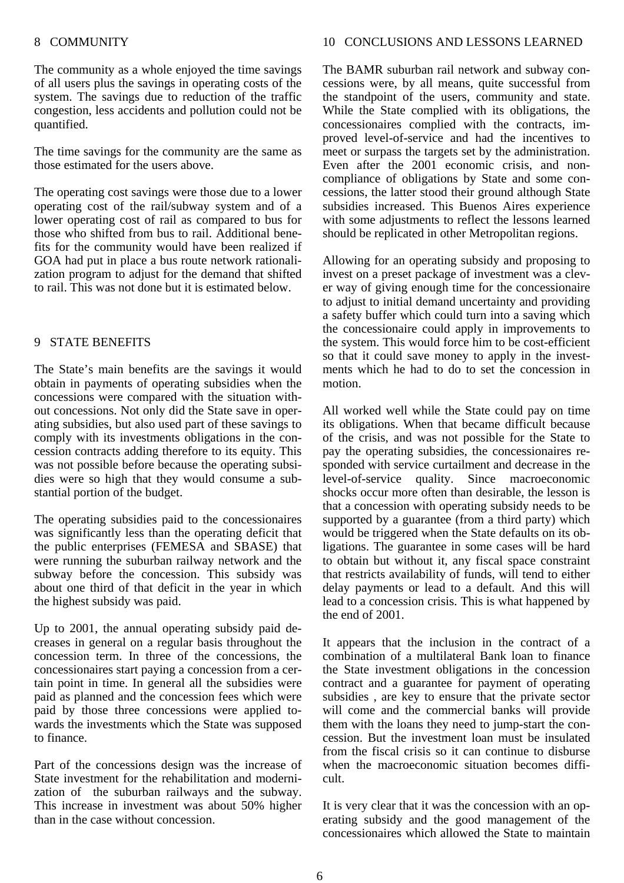#### 8 COMMUNITY

The community as a whole enjoyed the time savings of all users plus the savings in operating costs of the system. The savings due to reduction of the traffic congestion, less accidents and pollution could not be quantified.

The time savings for the community are the same as those estimated for the users above.

The operating cost savings were those due to a lower operating cost of the rail/subway system and of a lower operating cost of rail as compared to bus for those who shifted from bus to rail. Additional benefits for the community would have been realized if GOA had put in place a bus route network rationalization program to adjust for the demand that shifted to rail. This was not done but it is estimated below.

#### 9 STATE BENEFITS

The State's main benefits are the savings it would obtain in payments of operating subsidies when the concessions were compared with the situation without concessions. Not only did the State save in operating subsidies, but also used part of these savings to comply with its investments obligations in the concession contracts adding therefore to its equity. This was not possible before because the operating subsidies were so high that they would consume a substantial portion of the budget.

The operating subsidies paid to the concessionaires was significantly less than the operating deficit that the public enterprises (FEMESA and SBASE) that were running the suburban railway network and the subway before the concession. This subsidy was about one third of that deficit in the year in which the highest subsidy was paid.

Up to 2001, the annual operating subsidy paid decreases in general on a regular basis throughout the concession term. In three of the concessions, the concessionaires start paying a concession from a certain point in time. In general all the subsidies were paid as planned and the concession fees which were paid by those three concessions were applied towards the investments which the State was supposed to finance.

Part of the concessions design was the increase of State investment for the rehabilitation and modernization of the suburban railways and the subway. This increase in investment was about 50% higher than in the case without concession.

#### 10 CONCLUSIONS AND LESSONS LEARNED

The BAMR suburban rail network and subway concessions were, by all means, quite successful from the standpoint of the users, community and state. While the State complied with its obligations, the concessionaires complied with the contracts, improved level-of-service and had the incentives to meet or surpass the targets set by the administration. Even after the 2001 economic crisis, and noncompliance of obligations by State and some concessions, the latter stood their ground although State subsidies increased. This Buenos Aires experience with some adjustments to reflect the lessons learned should be replicated in other Metropolitan regions.

Allowing for an operating subsidy and proposing to invest on a preset package of investment was a clever way of giving enough time for the concessionaire to adjust to initial demand uncertainty and providing a safety buffer which could turn into a saving which the concessionaire could apply in improvements to the system. This would force him to be cost-efficient so that it could save money to apply in the investments which he had to do to set the concession in motion.

All worked well while the State could pay on time its obligations. When that became difficult because of the crisis, and was not possible for the State to pay the operating subsidies, the concessionaires responded with service curtailment and decrease in the level-of-service quality. Since macroeconomic shocks occur more often than desirable, the lesson is that a concession with operating subsidy needs to be supported by a guarantee (from a third party) which would be triggered when the State defaults on its obligations. The guarantee in some cases will be hard to obtain but without it, any fiscal space constraint that restricts availability of funds, will tend to either delay payments or lead to a default. And this will lead to a concession crisis. This is what happened by the end of 2001.

It appears that the inclusion in the contract of a combination of a multilateral Bank loan to finance the State investment obligations in the concession contract and a guarantee for payment of operating subsidies , are key to ensure that the private sector will come and the commercial banks will provide them with the loans they need to jump-start the concession. But the investment loan must be insulated from the fiscal crisis so it can continue to disburse when the macroeconomic situation becomes difficult.

It is very clear that it was the concession with an operating subsidy and the good management of the concessionaires which allowed the State to maintain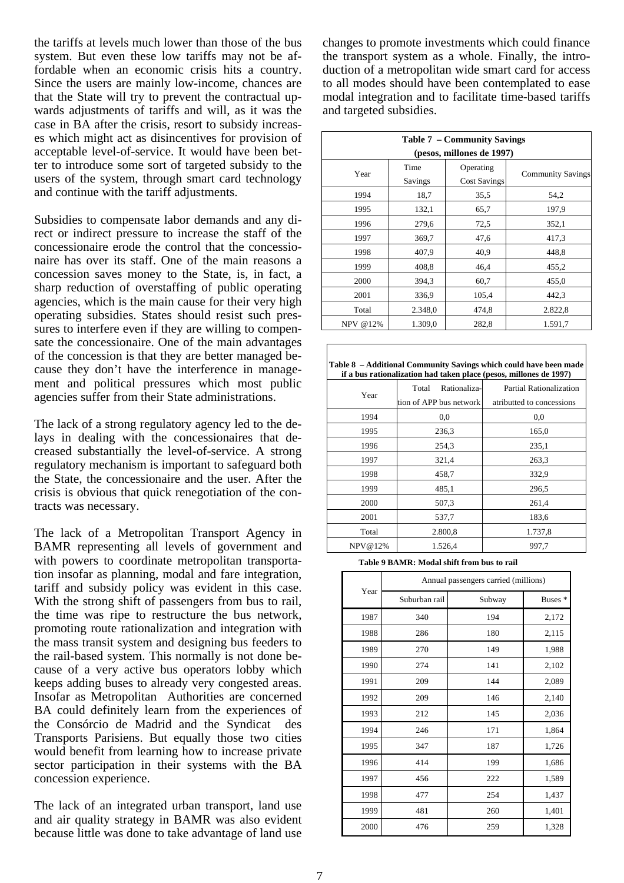the tariffs at levels much lower than those of the bus system. But even these low tariffs may not be affordable when an economic crisis hits a country. Since the users are mainly low-income, chances are that the State will try to prevent the contractual upwards adjustments of tariffs and will, as it was the case in BA after the crisis, resort to subsidy increases which might act as disincentives for provision of acceptable level-of-service. It would have been better to introduce some sort of targeted subsidy to the users of the system, through smart card technology and continue with the tariff adjustments.

Subsidies to compensate labor demands and any direct or indirect pressure to increase the staff of the concessionaire erode the control that the concessionaire has over its staff. One of the main reasons a concession saves money to the State, is, in fact, a sharp reduction of overstaffing of public operating agencies, which is the main cause for their very high operating subsidies. States should resist such pressures to interfere even if they are willing to compensate the concessionaire. One of the main advantages of the concession is that they are better managed because they don't have the interference in management and political pressures which most public agencies suffer from their State administrations.

The lack of a strong regulatory agency led to the delays in dealing with the concessionaires that decreased substantially the level-of-service. A strong regulatory mechanism is important to safeguard both the State, the concessionaire and the user. After the crisis is obvious that quick renegotiation of the contracts was necessary.

The lack of a Metropolitan Transport Agency in BAMR representing all levels of government and with powers to coordinate metropolitan transportation insofar as planning, modal and fare integration, tariff and subsidy policy was evident in this case. With the strong shift of passengers from bus to rail, the time was ripe to restructure the bus network, promoting route rationalization and integration with the mass transit system and designing bus feeders to the rail-based system. This normally is not done because of a very active bus operators lobby which keeps adding buses to already very congested areas. Insofar as Metropolitan Authorities are concerned BA could definitely learn from the experiences of the Consórcio de Madrid and the Syndicat des Transports Parisiens. But equally those two cities would benefit from learning how to increase private sector participation in their systems with the BA concession experience.

The lack of an integrated urban transport, land use and air quality strategy in BAMR was also evident because little was done to take advantage of land use

changes to promote investments which could finance the transport system as a whole. Finally, the introduction of a metropolitan wide smart card for access to all modes should have been contemplated to ease modal integration and to facilitate time-based tariffs and targeted subsidies.

| <b>Table 7 – Community Savings</b> |                           |                     |                          |  |  |  |
|------------------------------------|---------------------------|---------------------|--------------------------|--|--|--|
|                                    | (pesos, millones de 1997) |                     |                          |  |  |  |
| Year                               | Time                      | Operating           |                          |  |  |  |
|                                    | Savings                   | <b>Cost Savings</b> | <b>Community Savings</b> |  |  |  |
| 1994                               | 18,7                      | 35,5                | 54,2                     |  |  |  |
| 1995                               | 132,1                     | 65,7                | 197,9                    |  |  |  |
| 1996                               | 279,6                     | 72,5                | 352,1                    |  |  |  |
| 1997                               | 369,7                     | 47,6                | 417,3                    |  |  |  |
| 1998                               | 407,9                     | 40.9                | 448,8                    |  |  |  |
| 1999                               | 408,8                     | 46,4                | 455,2                    |  |  |  |
| 2000                               | 394,3                     | 60,7                | 455,0                    |  |  |  |
| 2001                               | 336,9                     | 105,4               | 442,3                    |  |  |  |
| Total                              | 2.348,0                   | 474,8               | 2.822,8                  |  |  |  |
| NPV @12%                           | 1.309,0                   | 282,8               | 1.591,7                  |  |  |  |

| Table 8 – Additional Community Savings which could have been made  |
|--------------------------------------------------------------------|
| if a bus rationalization had taken place (pesos, millones de 1997) |

| Year    | Rationaliza-<br>Total<br>tion of APP bus network | n a oas ranomanzanon may amen piace (pesos, minones ac 1221)<br><b>Partial Rationalization</b><br>atributted to concessions |
|---------|--------------------------------------------------|-----------------------------------------------------------------------------------------------------------------------------|
| 1994    | 0,0                                              | 0,0                                                                                                                         |
| 1995    | 236.3                                            | 165,0                                                                                                                       |
| 1996    | 254,3                                            | 235,1                                                                                                                       |
| 1997    | 321,4                                            | 263,3                                                                                                                       |
| 1998    | 458,7                                            | 332,9                                                                                                                       |
| 1999    | 485,1                                            | 296,5                                                                                                                       |
| 2000    | 507.3                                            | 261,4                                                                                                                       |
| 2001    | 537,7                                            | 183,6                                                                                                                       |
| Total   | 2.800,8                                          | 1.737,8                                                                                                                     |
| NPV@12% | 1.526,4                                          | 997,7                                                                                                                       |

**Table 9 BAMR: Modal shift from bus to rail** 

|      | Annual passengers carried (millions) |        |       |  |
|------|--------------------------------------|--------|-------|--|
| Year | Suburban rail                        | Subway |       |  |
| 1987 | 340                                  | 194    | 2,172 |  |
| 1988 | 286                                  | 180    | 2,115 |  |
| 1989 | 270                                  | 149    | 1,988 |  |
| 1990 | 274                                  | 141    | 2,102 |  |
| 1991 | 209                                  | 144    | 2,089 |  |
| 1992 | 209                                  | 146    | 2,140 |  |
| 1993 | 212                                  | 145    | 2,036 |  |
| 1994 | 246                                  | 171    | 1,864 |  |
| 1995 | 347                                  | 187    | 1,726 |  |
| 1996 | 414                                  | 199    | 1,686 |  |
| 1997 | 456                                  | 222    | 1,589 |  |
| 1998 | 477                                  | 254    | 1,437 |  |
| 1999 | 481                                  | 260    | 1,401 |  |
| 2000 | 476                                  | 259    | 1,328 |  |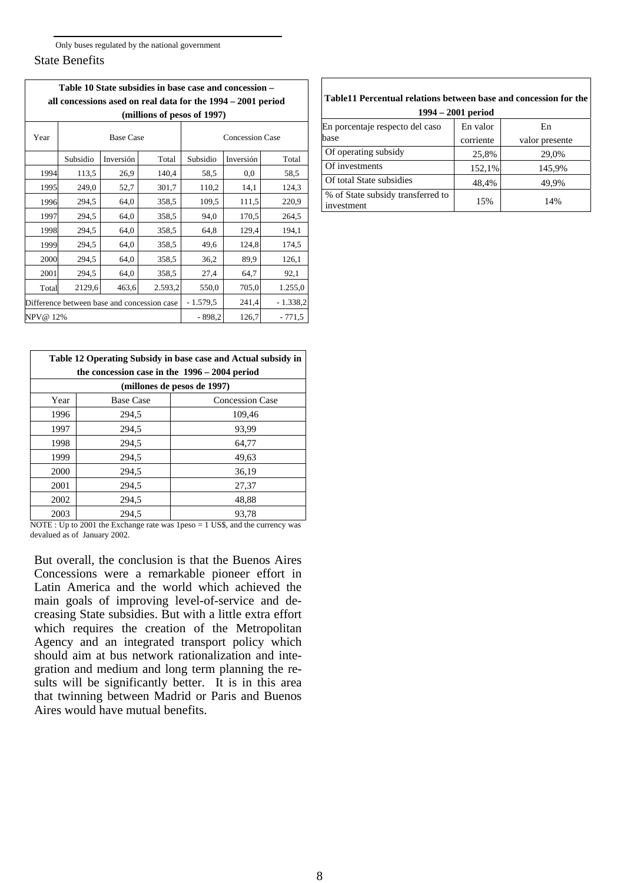#### State Benefits

|                                                              | Table 10 State subsidies in base case and concession - |           |                             |                        |           |            |  |
|--------------------------------------------------------------|--------------------------------------------------------|-----------|-----------------------------|------------------------|-----------|------------|--|
| all concessions ased on real data for the 1994 – 2001 period |                                                        |           |                             |                        |           |            |  |
|                                                              |                                                        |           | (millions of pesos of 1997) |                        |           |            |  |
| Year                                                         | <b>Base Case</b>                                       |           |                             | <b>Concession Case</b> |           |            |  |
|                                                              | Subsidio                                               | Inversión | Total                       | Subsidio               | Inversión | Total      |  |
| 1994                                                         | 113,5                                                  | 26,9      | 140,4                       | 58,5                   | 0.0       | 58,5       |  |
| 1995                                                         | 249,0                                                  | 52,7      | 301,7                       | 110,2                  | 14,1      | 124,3      |  |
| 1996                                                         | 294,5                                                  | 64,0      | 358.5                       | 109,5                  | 111,5     | 220,9      |  |
| 1997                                                         | 294,5                                                  | 64,0      | 358,5                       | 94,0                   | 170.5     | 264,5      |  |
| 1998                                                         | 294,5                                                  | 64,0      | 358,5                       | 64,8                   | 129,4     | 194,1      |  |
| 1999                                                         | 294,5                                                  | 64,0      | 358,5                       | 49,6                   | 124,8     | 174,5      |  |
| 2000                                                         | 294,5                                                  | 64,0      | 358,5                       | 36,2                   | 89,9      | 126,1      |  |
| 2001                                                         | 294,5                                                  | 64,0      | 358.5                       | 27,4                   | 64,7      | 92,1       |  |
| Total                                                        | 2129,6                                                 | 463,6     | 2.593,2                     | 550,0                  | 705,0     | 1.255,0    |  |
|                                                              | Difference between base and concession case            |           |                             | $-1.579.5$             | 241,4     | $-1.338,2$ |  |
|                                                              | NPV@ 12%<br>$-898.2$<br>126,7<br>$-771,5$              |           |                             |                        |           |            |  |

| Table 12 Operating Subsidy in base case and Actual subsidy in<br>the concession case in the $1996 - 2004$ period |                  |                        |  |  |
|------------------------------------------------------------------------------------------------------------------|------------------|------------------------|--|--|
| (millones de pesos de 1997)                                                                                      |                  |                        |  |  |
| Year                                                                                                             | <b>Base Case</b> | <b>Concession Case</b> |  |  |
| 1996                                                                                                             | 294,5            | 109,46                 |  |  |
| 1997                                                                                                             | 294,5            | 93,99                  |  |  |
| 1998                                                                                                             | 294,5            | 64,77                  |  |  |
| 1999                                                                                                             | 294.5            | 49,63                  |  |  |
| 2000                                                                                                             | 294,5            | 36,19                  |  |  |
| 2001                                                                                                             | 294,5            | 27,37                  |  |  |
| 2002                                                                                                             | 294,5            | 48,88                  |  |  |
| 2003                                                                                                             | 294.5            | 93,78                  |  |  |

NOTE : Up to 2001 the Exchange rate was 1 peso = 1 US\$, and the currency was devalued as of January 2002.

But overall, the conclusion is that the Buenos Aires Concessions were a remarkable pioneer effort in Latin America and the world which achieved the main goals of improving level-of-service and decreasing State subsidies. But with a little extra effort which requires the creation of the Metropolitan Agency and an integrated transport policy which should aim at bus network rationalization and integration and medium and long term planning the results will be significantly better. It is in this area that twinning between Madrid or Paris and Buenos Aires would have mutual benefits.

| Table11 Percentual relations between base and concession for the<br>$1994 - 2001$ period |                       |                      |  |  |
|------------------------------------------------------------------------------------------|-----------------------|----------------------|--|--|
| En porcentaje respecto del caso<br>base                                                  | En valor<br>corriente | En<br>valor presente |  |  |
| Of operating subsidy                                                                     | 25,8%                 | 29,0%                |  |  |
| Of investments                                                                           | 152,1%                | 145,9%               |  |  |
| Of total State subsidies                                                                 | 48,4%                 | 49,9%                |  |  |
| % of State subsidy transferred to<br>investment                                          | 15%                   | 14%                  |  |  |